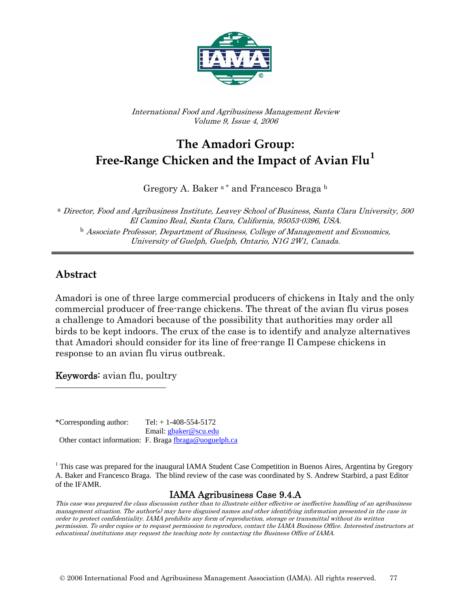

International Food and Agribusiness Management Review Volume 9, Issue 4, 2006

# **The Amadori Group: Free-Range Chicken and the Impact of Avian Flu[1](#page-0-0)**

Gregory A. Baker<sup>a\*</sup> and Francesco Braga<sup>b</sup>

<sup>a</sup> Director, Food and Agribusiness Institute, Leavey School of Business, Santa Clara University, 500 El Camino Real, Santa Clara, California, 95053-0396, USA.  $b$  Associate Professor, Department of Business, College of Management and Economics, University of Guelph, Guelph, Ontario, N1G 2W1, Canada.

#### **Abstract**

<span id="page-0-0"></span> $\overline{\phantom{a}}$ 

Amadori is one of three large commercial producers of chickens in Italy and the only commercial producer of free-range chickens. The threat of the avian flu virus poses a challenge to Amadori because of the possibility that authorities may order all birds to be kept indoors. The crux of the case is to identify and analyze alternatives that Amadori should consider for its line of free-range Il Campese chickens in response to an avian flu virus outbreak.

Keywords: avian flu, poultry

\*Corresponding author:  $Tel: + 1-408-554-5172$  Email: [gbaker@scu.edu](mailto:gbaker@scu.edu) Other contact information: F. Braga [fbraga@uoguelph.ca](mailto:fbraga@uoguelph.ca)

<sup>1</sup> This case was prepared for the inaugural IAMA Student Case Competition in Buenos Aires, Argentina by Gregory A. Baker and Francesco Braga. The blind review of the case was coordinated by S. Andrew Starbird, a past Editor of the IFAMR.

#### IAMA Agribusiness Case 9.4.A

This case was prepared for class discussion rather than to illustrate either effective or ineffective handling of an agribusiness management situation. The author(s) may have disguised names and other identifying information presented in the case in order to protect confidentiality. IAMA prohibits any form of reproduction, storage or transmittal without its written permission. To order copies or to request permission to reproduce, contact the IAMA Business Office. Interested instructors at educational institutions may request the teaching note by contacting the Business Office of IAMA.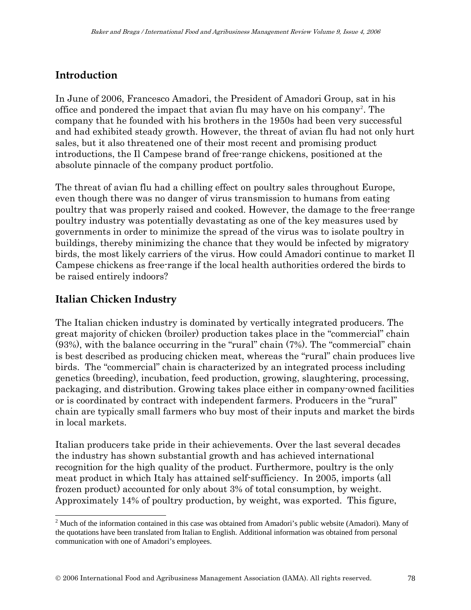### **Introduction**

In June of 2006, Francesco Amadori, the President of Amadori Group, sat in his office and pondered the impact that avian flu may have on his company<sup>[2](#page-1-0)</sup>. The company that he founded with his brothers in the 1950s had been very successful and had exhibited steady growth. However, the threat of avian flu had not only hurt sales, but it also threatened one of their most recent and promising product introductions, the Il Campese brand of free-range chickens, positioned at the absolute pinnacle of the company product portfolio.

The threat of avian flu had a chilling effect on poultry sales throughout Europe, even though there was no danger of virus transmission to humans from eating poultry that was properly raised and cooked. However, the damage to the free-range poultry industry was potentially devastating as one of the key measures used by governments in order to minimize the spread of the virus was to isolate poultry in buildings, thereby minimizing the chance that they would be infected by migratory birds, the most likely carriers of the virus. How could Amadori continue to market Il Campese chickens as free-range if the local health authorities ordered the birds to be raised entirely indoors?

#### **Italian Chicken Industry**

 $\overline{\phantom{a}}$ 

The Italian chicken industry is dominated by vertically integrated producers. The great majority of chicken (broiler) production takes place in the "commercial" chain (93%), with the balance occurring in the "rural" chain (7%). The "commercial" chain is best described as producing chicken meat, whereas the "rural" chain produces live birds. The "commercial" chain is characterized by an integrated process including genetics (breeding), incubation, feed production, growing, slaughtering, processing, packaging, and distribution. Growing takes place either in company-owned facilities or is coordinated by contract with independent farmers. Producers in the "rural" chain are typically small farmers who buy most of their inputs and market the birds in local markets.

Italian producers take pride in their achievements. Over the last several decades the industry has shown substantial growth and has achieved international recognition for the high quality of the product. Furthermore, poultry is the only meat product in which Italy has attained self-sufficiency. In 2005, imports (all frozen product) accounted for only about 3% of total consumption, by weight. Approximately 14% of poultry production, by weight, was exported. This figure,

<span id="page-1-0"></span> $2$  Much of the information contained in this case was obtained from Amadori's public website (Amadori). Many of the quotations have been translated from Italian to English. Additional information was obtained from personal communication with one of Amadori's employees.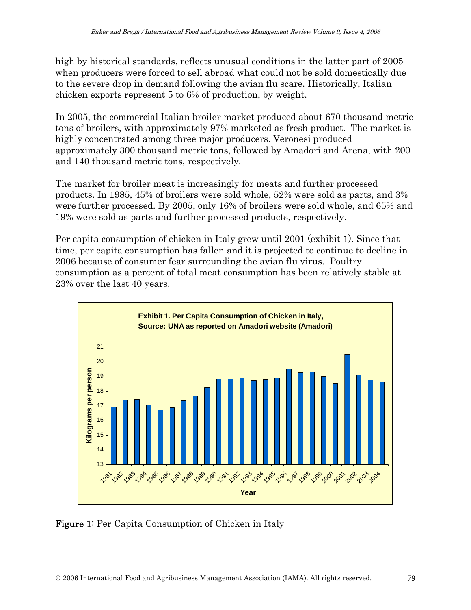high by historical standards, reflects unusual conditions in the latter part of 2005 when producers were forced to sell abroad what could not be sold domestically due to the severe drop in demand following the avian flu scare. Historically, Italian chicken exports represent 5 to 6% of production, by weight.

In 2005, the commercial Italian broiler market produced about 670 thousand metric tons of broilers, with approximately 97% marketed as fresh product. The market is highly concentrated among three major producers. Veronesi produced approximately 300 thousand metric tons, followed by Amadori and Arena, with 200 and 140 thousand metric tons, respectively.

The market for broiler meat is increasingly for meats and further processed products. In 1985, 45% of broilers were sold whole, 52% were sold as parts, and 3% were further processed. By 2005, only 16% of broilers were sold whole, and 65% and 19% were sold as parts and further processed products, respectively.

Per capita consumption of chicken in Italy grew until 2001 (exhibit 1). Since that time, per capita consumption has fallen and it is projected to continue to decline in 2006 because of consumer fear surrounding the avian flu virus. Poultry consumption as a percent of total meat consumption has been relatively stable at 23% over the last 40 years.



Figure 1: Per Capita Consumption of Chicken in Italy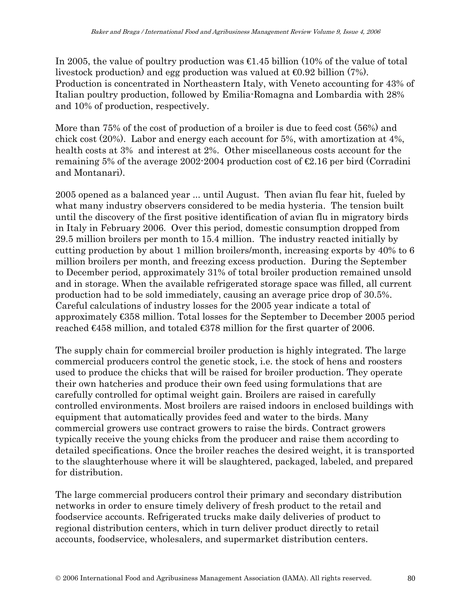In 2005, the value of poultry production was €1.45 billion (10% of the value of total livestock production) and egg production was valued at  $\Theta$ . 92 billion (7%). Production is concentrated in Northeastern Italy, with Veneto accounting for 43% of Italian poultry production, followed by Emilia-Romagna and Lombardia with 28% and 10% of production, respectively.

More than 75% of the cost of production of a broiler is due to feed cost (56%) and chick cost (20%). Labor and energy each account for 5%, with amortization at 4%, health costs at 3% and interest at 2%. Other miscellaneous costs account for the remaining 5% of the average 2002-2004 production cost of  $\epsilon$ . 16 per bird (Corradini and Montanari).

2005 opened as a balanced year ... until August. Then avian flu fear hit, fueled by what many industry observers considered to be media hysteria. The tension built until the discovery of the first positive identification of avian flu in migratory birds in Italy in February 2006. Over this period, domestic consumption dropped from 29.5 million broilers per month to 15.4 million. The industry reacted initially by cutting production by about 1 million broilers/month, increasing exports by 40% to 6 million broilers per month, and freezing excess production. During the September to December period, approximately 31% of total broiler production remained unsold and in storage. When the available refrigerated storage space was filled, all current production had to be sold immediately, causing an average price drop of 30.5%. Careful calculations of industry losses for the 2005 year indicate a total of approximately €358 million. Total losses for the September to December 2005 period reached €458 million, and totaled €378 million for the first quarter of 2006.

The supply chain for commercial broiler production is highly integrated. The large commercial producers control the genetic stock, i.e. the stock of hens and roosters used to produce the chicks that will be raised for broiler production. They operate their own hatcheries and produce their own feed using formulations that are carefully controlled for optimal weight gain. Broilers are raised in carefully controlled environments. Most broilers are raised indoors in enclosed buildings with equipment that automatically provides feed and water to the birds. Many commercial growers use contract growers to raise the birds. Contract growers typically receive the young chicks from the producer and raise them according to detailed specifications. Once the broiler reaches the desired weight, it is transported to the slaughterhouse where it will be slaughtered, packaged, labeled, and prepared for distribution.

The large commercial producers control their primary and secondary distribution networks in order to ensure timely delivery of fresh product to the retail and foodservice accounts. Refrigerated trucks make daily deliveries of product to regional distribution centers, which in turn deliver product directly to retail accounts, foodservice, wholesalers, and supermarket distribution centers.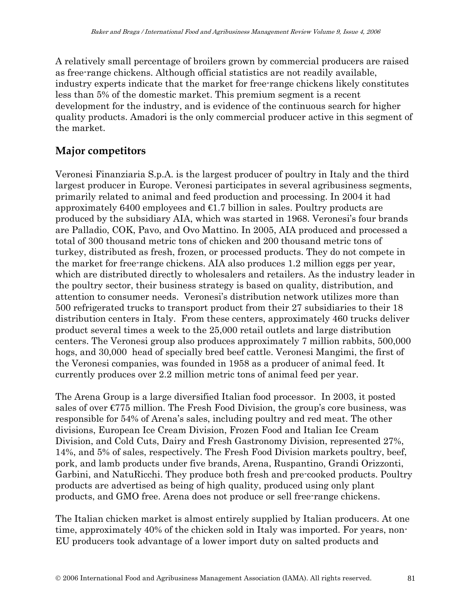A relatively small percentage of broilers grown by commercial producers are raised as free-range chickens. Although official statistics are not readily available, industry experts indicate that the market for free-range chickens likely constitutes less than 5% of the domestic market. This premium segment is a recent development for the industry, and is evidence of the continuous search for higher quality products. Amadori is the only commercial producer active in this segment of the market.

### **Major competitors**

Veronesi Finanziaria S.p.A. is the largest producer of poultry in Italy and the third largest producer in Europe. Veronesi participates in several agribusiness segments, primarily related to animal and feed production and processing. In 2004 it had approximately 6400 employees and  $\in$ 1.7 billion in sales. Poultry products are produced by the subsidiary AIA, which was started in 1968. Veronesi's four brands are Palladio, COK, Pavo, and Ovo Mattino. In 2005, AIA produced and processed a total of 300 thousand metric tons of chicken and 200 thousand metric tons of turkey, distributed as fresh, frozen, or processed products. They do not compete in the market for free-range chickens. AIA also produces 1.2 million eggs per year, which are distributed directly to wholesalers and retailers. As the industry leader in the poultry sector, their business strategy is based on quality, distribution, and attention to consumer needs. Veronesi's distribution network utilizes more than 500 refrigerated trucks to transport product from their 27 subsidiaries to their 18 distribution centers in Italy. From these centers, approximately 460 trucks deliver product several times a week to the 25,000 retail outlets and large distribution centers. The Veronesi group also produces approximately 7 million rabbits, 500,000 hogs, and 30,000 head of specially bred beef cattle. Veronesi Mangimi, the first of the Veronesi companies, was founded in 1958 as a producer of animal feed. It currently produces over 2.2 million metric tons of animal feed per year.

The Arena Group is a large diversified Italian food processor. In 2003, it posted sales of over  $\epsilon$ 775 million. The Fresh Food Division, the group's core business, was responsible for 54% of Arena's sales, including poultry and red meat. The other divisions, European Ice Cream Division, Frozen Food and Italian Ice Cream Division, and Cold Cuts, Dairy and Fresh Gastronomy Division, represented 27%, 14%, and 5% of sales, respectively. The Fresh Food Division markets poultry, beef, pork, and lamb products under five brands, Arena, Ruspantino, Grandi Orizzonti, Garbini, and NatuRicchi. They produce both fresh and pre-cooked products. Poultry products are advertised as being of high quality, produced using only plant products, and GMO free. Arena does not produce or sell free-range chickens.

The Italian chicken market is almost entirely supplied by Italian producers. At one time, approximately 40% of the chicken sold in Italy was imported. For years, non-EU producers took advantage of a lower import duty on salted products and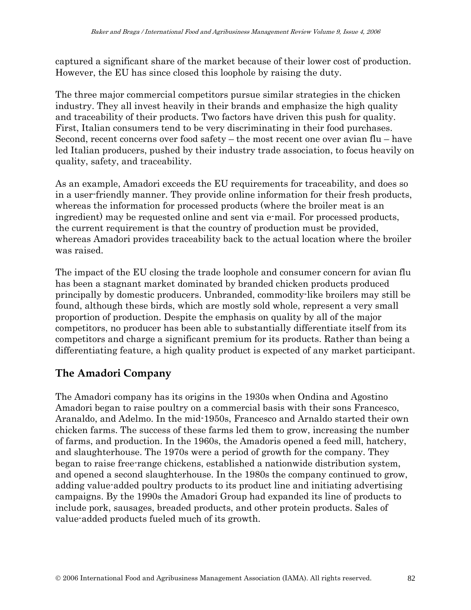captured a significant share of the market because of their lower cost of production. However, the EU has since closed this loophole by raising the duty.

The three major commercial competitors pursue similar strategies in the chicken industry. They all invest heavily in their brands and emphasize the high quality and traceability of their products. Two factors have driven this push for quality. First, Italian consumers tend to be very discriminating in their food purchases. Second, recent concerns over food safety – the most recent one over avian flu – have led Italian producers, pushed by their industry trade association, to focus heavily on quality, safety, and traceability.

As an example, Amadori exceeds the EU requirements for traceability, and does so in a user-friendly manner. They provide online information for their fresh products, whereas the information for processed products (where the broiler meat is an ingredient) may be requested online and sent via e-mail. For processed products, the current requirement is that the country of production must be provided, whereas Amadori provides traceability back to the actual location where the broiler was raised.

The impact of the EU closing the trade loophole and consumer concern for avian flu has been a stagnant market dominated by branded chicken products produced principally by domestic producers. Unbranded, commodity-like broilers may still be found, although these birds, which are mostly sold whole, represent a very small proportion of production. Despite the emphasis on quality by all of the major competitors, no producer has been able to substantially differentiate itself from its competitors and charge a significant premium for its products. Rather than being a differentiating feature, a high quality product is expected of any market participant.

### **The Amadori Company**

The Amadori company has its origins in the 1930s when Ondina and Agostino Amadori began to raise poultry on a commercial basis with their sons Francesco, Aranaldo, and Adelmo. In the mid-1950s, Francesco and Arnaldo started their own chicken farms. The success of these farms led them to grow, increasing the number of farms, and production. In the 1960s, the Amadoris opened a feed mill, hatchery, and slaughterhouse. The 1970s were a period of growth for the company. They began to raise free-range chickens, established a nationwide distribution system, and opened a second slaughterhouse. In the 1980s the company continued to grow, adding value-added poultry products to its product line and initiating advertising campaigns. By the 1990s the Amadori Group had expanded its line of products to include pork, sausages, breaded products, and other protein products. Sales of value-added products fueled much of its growth.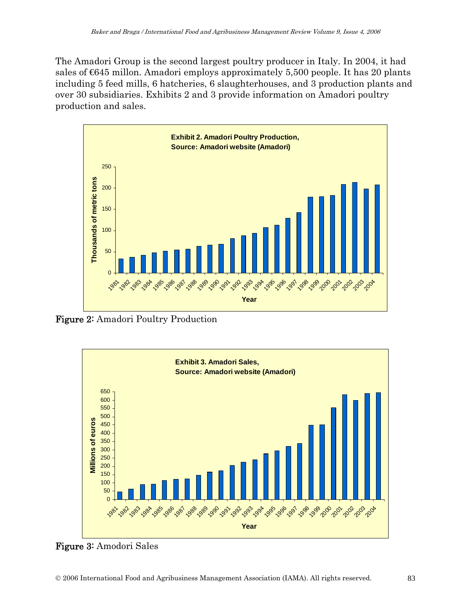The Amadori Group is the second largest poultry producer in Italy. In 2004, it had sales of millon. Amadori employs approximately 5,500 people. It has 20 plants including 5 feed mills, 6 hatcheries, 6 slaughterhouses, and 3 production plants and over 30 subsidiaries. Exhibits 2 and 3 provide information on Amadori poultry production and sales.



Figure 2: Amadori Poultry Production



Figure 3: Amodori Sales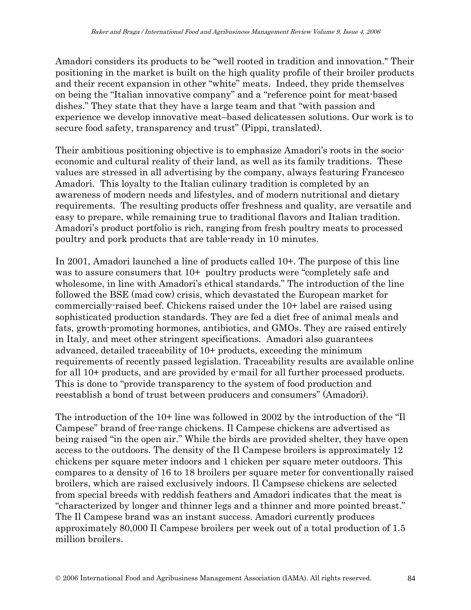Amadori considers its products to be "well rooted in tradition and innovation." Their positioning in the market is built on the high quality profile of their broiler products and their recent expansion in other "white" meats. Indeed, they pride themselves on being the "Italian innovative company" and a "reference point for meat-based dishes." They state that they have a large team and that "with passion and experience we develop innovative meat–based delicatessen solutions. Our work is to secure food safety, transparency and trust" (Pippi, translated).

Their ambitious positioning objective is to emphasize Amadori's roots in the socioeconomic and cultural reality of their land, as well as its family traditions. These values are stressed in all advertising by the company, always featuring Francesco Amadori. This loyalty to the Italian culinary tradition is completed by an awareness of modern needs and lifestyles, and of modern nutritional and dietary requirements. The resulting products offer freshness and quality, are versatile and easy to prepare, while remaining true to traditional flavors and Italian tradition. Amadori's product portfolio is rich, ranging from fresh poultry meats to processed poultry and pork products that are table-ready in 10 minutes.

In 2001, Amadori launched a line of products called 10+. The purpose of this line was to assure consumers that 10+ poultry products were "completely safe and wholesome, in line with Amadori's ethical standards." The introduction of the line followed the BSE (mad cow) crisis, which devastated the European market for commercially-raised beef. Chickens raised under the 10+ label are raised using sophisticated production standards. They are fed a diet free of animal meals and fats, growth-promoting hormones, antibiotics, and GMOs. They are raised entirely in Italy, and meet other stringent specifications. Amadori also guarantees advanced, detailed traceability of 10+ products, exceeding the minimum requirements of recently passed legislation. Traceability results are available online for all 10+ products, and are provided by e-mail for all further processed products. This is done to "provide transparency to the system of food production and reestablish a bond of trust between producers and consumers" (Amadori).

The introduction of the 10+ line was followed in 2002 by the introduction of the "Il Campese" brand of free-range chickens. Il Campese chickens are advertised as being raised "in the open air." While the birds are provided shelter, they have open access to the outdoors. The density of the Il Campese broilers is approximately 12 chickens per square meter indoors and 1 chicken per square meter outdoors. This compares to a density of 16 to 18 broilers per square meter for conventionally raised broilers, which are raised exclusively indoors. Il Campsese chickens are selected from special breeds with reddish feathers and Amadori indicates that the meat is "characterized by longer and thinner legs and a thinner and more pointed breast." The Il Campese brand was an instant success. Amadori currently produces approximately 80,000 Il Campese broilers per week out of a total production of 1.5 million broilers.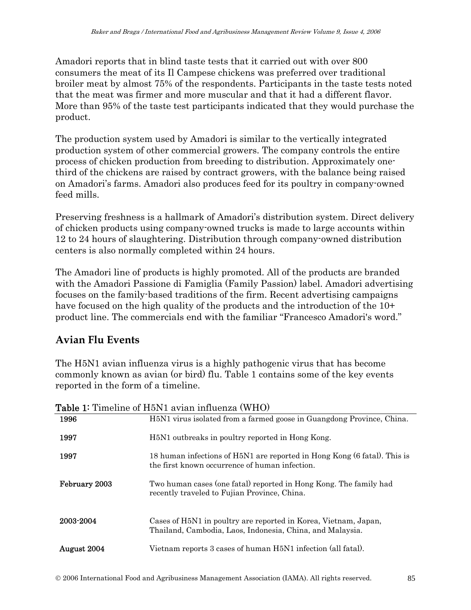Amadori reports that in blind taste tests that it carried out with over 800 consumers the meat of its Il Campese chickens was preferred over traditional broiler meat by almost 75% of the respondents. Participants in the taste tests noted that the meat was firmer and more muscular and that it had a different flavor. More than 95% of the taste test participants indicated that they would purchase the product.

The production system used by Amadori is similar to the vertically integrated production system of other commercial growers. The company controls the entire process of chicken production from breeding to distribution. Approximately onethird of the chickens are raised by contract growers, with the balance being raised on Amadori's farms. Amadori also produces feed for its poultry in company-owned feed mills.

Preserving freshness is a hallmark of Amadori's distribution system. Direct delivery of chicken products using company-owned trucks is made to large accounts within 12 to 24 hours of slaughtering. Distribution through company-owned distribution centers is also normally completed within 24 hours.

The Amadori line of products is highly promoted. All of the products are branded with the Amadori Passione di Famiglia (Family Passion) label. Amadori advertising focuses on the family-based traditions of the firm. Recent advertising campaigns have focused on the high quality of the products and the introduction of the  $10<sup>+</sup>$ product line. The commercials end with the familiar "Francesco Amadori's word."

### **Avian Flu Events**

The H5N1 avian influenza virus is a highly pathogenic virus that has become commonly known as avian (or bird) flu. Table 1 contains some of the key events reported in the form of a timeline.

| <b>Table 1:</b> Timeline of H5N1 avian influenza (WHO) |                                                                                                                              |
|--------------------------------------------------------|------------------------------------------------------------------------------------------------------------------------------|
| 1996                                                   | H5N1 virus isolated from a farmed goose in Guangdong Province, China.                                                        |
| 1997                                                   | H <sub>5</sub> N <sub>1</sub> outbreaks in poultry reported in Hong Kong.                                                    |
| 1997                                                   | 18 human infections of H5N1 are reported in Hong Kong (6 fatal). This is<br>the first known occurrence of human infection.   |
| February 2003                                          | Two human cases (one fatal) reported in Hong Kong. The family had<br>recently traveled to Fujian Province, China.            |
| 2003-2004                                              | Cases of H5N1 in poultry are reported in Korea, Vietnam, Japan,<br>Thailand, Cambodia, Laos, Indonesia, China, and Malaysia. |
| August 2004                                            | Vietnam reports 3 cases of human H5N1 infection (all fatal).                                                                 |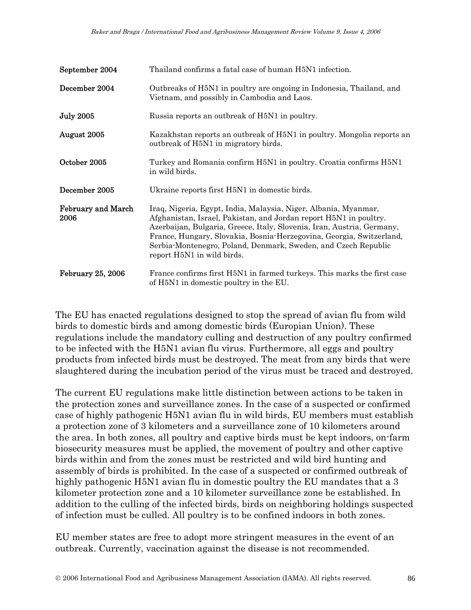| September 2004                    | Thailand confirms a fatal case of human H5N1 infection.                                                                                                                                                                                                                                                                                                                                |
|-----------------------------------|----------------------------------------------------------------------------------------------------------------------------------------------------------------------------------------------------------------------------------------------------------------------------------------------------------------------------------------------------------------------------------------|
| December 2004                     | Outbreaks of H5N1 in poultry are ongoing in Indonesia, Thailand, and<br>Vietnam, and possibly in Cambodia and Laos.                                                                                                                                                                                                                                                                    |
| <b>July 2005</b>                  | Russia reports an outbreak of H5N1 in poultry.                                                                                                                                                                                                                                                                                                                                         |
| August 2005                       | Kazakhstan reports an outbreak of H5N1 in poultry. Mongolia reports an<br>outbreak of H5N1 in migratory birds.                                                                                                                                                                                                                                                                         |
| October 2005                      | Turkey and Romania confirm H5N1 in poultry. Croatia confirms H5N1<br>in wild birds.                                                                                                                                                                                                                                                                                                    |
| December 2005                     | Ukraine reports first H5N1 in domestic birds.                                                                                                                                                                                                                                                                                                                                          |
| <b>February and March</b><br>2006 | Iraq, Nigeria, Egypt, India, Malaysia, Niger, Albania, Myanmar,<br>Afghanistan, Israel, Pakistan, and Jordan report H5N1 in poultry.<br>Azerbaijan, Bulgaria, Greece, Italy, Slovenia, Iran, Austria, Germany,<br>France, Hungary, Slovakia, Bosnia-Herzegovina, Georgia, Switzerland,<br>Serbia-Montenegro, Poland, Denmark, Sweden, and Czech Republic<br>report H5N1 in wild birds. |
| February 25, 2006                 | France confirms first H5N1 in farmed turkeys. This marks the first case<br>of H5N1 in domestic poultry in the EU.                                                                                                                                                                                                                                                                      |

The EU has enacted regulations designed to stop the spread of avian flu from wild birds to domestic birds and among domestic birds (Europian Union). These regulations include the mandatory culling and destruction of any poultry confirmed to be infected with the H5N1 avian flu virus. Furthermore, all eggs and poultry products from infected birds must be destroyed. The meat from any birds that were slaughtered during the incubation period of the virus must be traced and destroyed.

The current EU regulations make little distinction between actions to be taken in the protection zones and surveillance zones. In the case of a suspected or confirmed case of highly pathogenic H5N1 avian flu in wild birds, EU members must establish a protection zone of 3 kilometers and a surveillance zone of 10 kilometers around the area. In both zones, all poultry and captive birds must be kept indoors, on-farm biosecurity measures must be applied, the movement of poultry and other captive birds within and from the zones must be restricted and wild bird hunting and assembly of birds is prohibited. In the case of a suspected or confirmed outbreak of highly pathogenic H5N1 avian flu in domestic poultry the EU mandates that a 3 kilometer protection zone and a 10 kilometer surveillance zone be established. In addition to the culling of the infected birds, birds on neighboring holdings suspected of infection must be culled. All poultry is to be confined indoors in both zones.

EU member states are free to adopt more stringent measures in the event of an outbreak. Currently, vaccination against the disease is not recommended.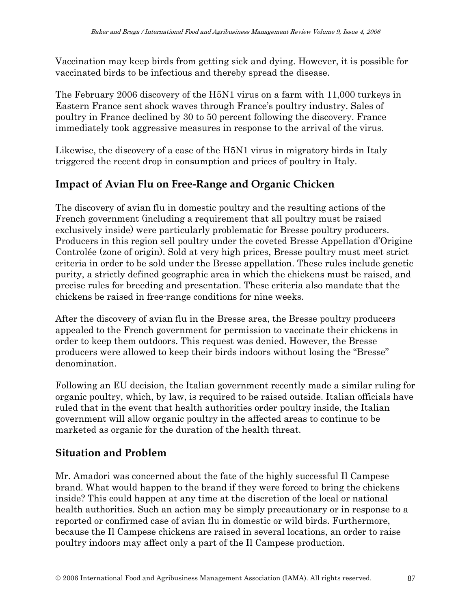Vaccination may keep birds from getting sick and dying. However, it is possible for vaccinated birds to be infectious and thereby spread the disease.

The February 2006 discovery of the H5N1 virus on a farm with 11,000 turkeys in Eastern France sent shock waves through France's poultry industry. Sales of poultry in France declined by 30 to 50 percent following the discovery. France immediately took aggressive measures in response to the arrival of the virus.

Likewise, the discovery of a case of the H5N1 virus in migratory birds in Italy triggered the recent drop in consumption and prices of poultry in Italy.

## **Impact of Avian Flu on Free-Range and Organic Chicken**

The discovery of avian flu in domestic poultry and the resulting actions of the French government (including a requirement that all poultry must be raised exclusively inside) were particularly problematic for Bresse poultry producers. Producers in this region sell poultry under the coveted Bresse Appellation d'Origine Controlée (zone of origin). Sold at very high prices, Bresse poultry must meet strict criteria in order to be sold under the Bresse appellation. These rules include genetic purity, a strictly defined geographic area in which the chickens must be raised, and precise rules for breeding and presentation. These criteria also mandate that the chickens be raised in free-range conditions for nine weeks.

After the discovery of avian flu in the Bresse area, the Bresse poultry producers appealed to the French government for permission to vaccinate their chickens in order to keep them outdoors. This request was denied. However, the Bresse producers were allowed to keep their birds indoors without losing the "Bresse" denomination.

Following an EU decision, the Italian government recently made a similar ruling for organic poultry, which, by law, is required to be raised outside. Italian officials have ruled that in the event that health authorities order poultry inside, the Italian government will allow organic poultry in the affected areas to continue to be marketed as organic for the duration of the health threat.

## **Situation and Problem**

Mr. Amadori was concerned about the fate of the highly successful Il Campese brand. What would happen to the brand if they were forced to bring the chickens inside? This could happen at any time at the discretion of the local or national health authorities. Such an action may be simply precautionary or in response to a reported or confirmed case of avian flu in domestic or wild birds. Furthermore, because the Il Campese chickens are raised in several locations, an order to raise poultry indoors may affect only a part of the Il Campese production.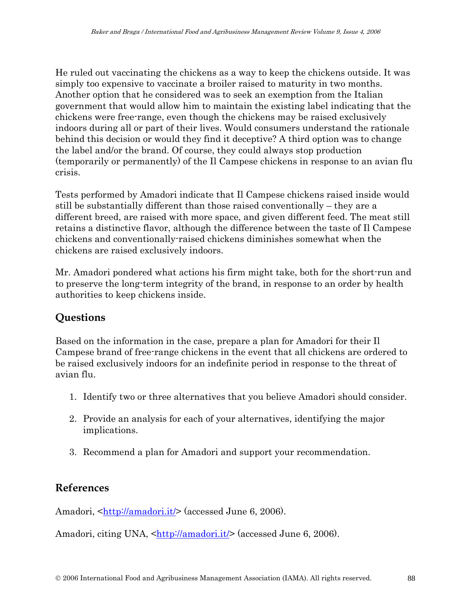He ruled out vaccinating the chickens as a way to keep the chickens outside. It was simply too expensive to vaccinate a broiler raised to maturity in two months. Another option that he considered was to seek an exemption from the Italian government that would allow him to maintain the existing label indicating that the chickens were free-range, even though the chickens may be raised exclusively indoors during all or part of their lives. Would consumers understand the rationale behind this decision or would they find it deceptive? A third option was to change the label and/or the brand. Of course, they could always stop production (temporarily or permanently) of the Il Campese chickens in response to an avian flu crisis.

Tests performed by Amadori indicate that Il Campese chickens raised inside would still be substantially different than those raised conventionally – they are a different breed, are raised with more space, and given different feed. The meat still retains a distinctive flavor, although the difference between the taste of Il Campese chickens and conventionally-raised chickens diminishes somewhat when the chickens are raised exclusively indoors.

Mr. Amadori pondered what actions his firm might take, both for the short-run and to preserve the long-term integrity of the brand, in response to an order by health authorities to keep chickens inside.

### **Questions**

Based on the information in the case, prepare a plan for Amadori for their Il Campese brand of free-range chickens in the event that all chickens are ordered to be raised exclusively indoors for an indefinite period in response to the threat of avian flu.

- 1. Identify two or three alternatives that you believe Amadori should consider.
- 2. Provide an analysis for each of your alternatives, identifying the major implications.
- 3. Recommend a plan for Amadori and support your recommendation.

### **References**

Amadori, <[http://amadori.it/>](http://amadori.it/) (accessed June 6, 2006).

Amadori, citing UNA, <<http://amadori.it/>> (accessed June 6, 2006).